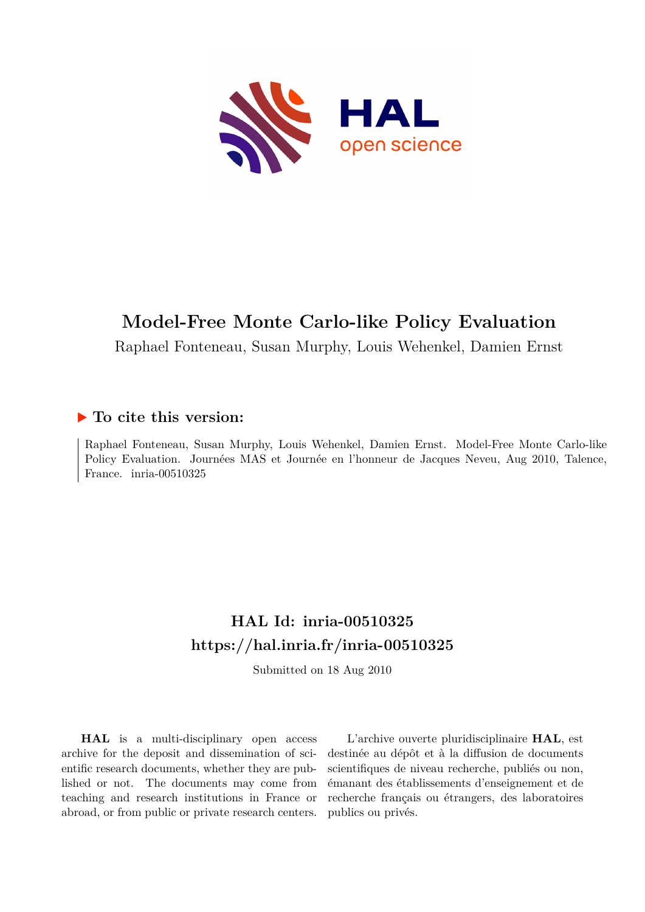

## **Model-Free Monte Carlo-like Policy Evaluation**

Raphael Fonteneau, Susan Murphy, Louis Wehenkel, Damien Ernst

## **To cite this version:**

Raphael Fonteneau, Susan Murphy, Louis Wehenkel, Damien Ernst. Model-Free Monte Carlo-like Policy Evaluation. Journées MAS et Journée en l'honneur de Jacques Neveu, Aug 2010, Talence, France. inria-00510325

## **HAL Id: inria-00510325 <https://hal.inria.fr/inria-00510325>**

Submitted on 18 Aug 2010

**HAL** is a multi-disciplinary open access archive for the deposit and dissemination of scientific research documents, whether they are published or not. The documents may come from teaching and research institutions in France or abroad, or from public or private research centers.

L'archive ouverte pluridisciplinaire **HAL**, est destinée au dépôt et à la diffusion de documents scientifiques de niveau recherche, publiés ou non, émanant des établissements d'enseignement et de recherche français ou étrangers, des laboratoires publics ou privés.